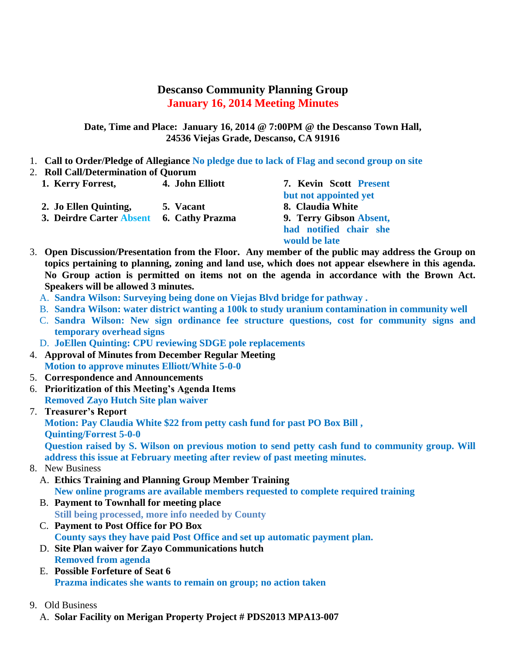## **Descanso Community Planning Group January 16, 2014 Meeting Minutes**

**Date, Time and Place: January 16, 2014 @ 7:00PM @ the Descanso Town Hall, 24536 Viejas Grade, Descanso, CA 91916**

- 1. **Call to Order/Pledge of Allegiance No pledge due to lack of Flag and second group on site**
- 2. **Roll Call/Determination of Quorum**
	- **1. Kerry Forrest, 4. John Elliott 7. Kevin Scott Present**  2. Jo Ellen Quinting, 5. Vacant 8. Claudia White **3. Deirdre Carter Absent 6. Cathy Prazma 9. Terry Gibson Absent,**

**but not appointed yet had notified chair she would be late**

- 3. **Open Discussion/Presentation from the Floor. Any member of the public may address the Group on topics pertaining to planning, zoning and land use, which does not appear elsewhere in this agenda. No Group action is permitted on items not on the agenda in accordance with the Brown Act. Speakers will be allowed 3 minutes.**
	- A. **Sandra Wilson: Surveying being done on Viejas Blvd bridge for pathway .**
	- B. **Sandra Wilson: water district wanting a 100k to study uranium contamination in community well**
	- C. **Sandra Wilson: New sign ordinance fee structure questions, cost for community signs and temporary overhead signs**
	- D. **JoEllen Quinting: CPU reviewing SDGE pole replacements**
- 4. **Approval of Minutes from December Regular Meeting Motion to approve minutes Elliott/White 5-0-0**
- 5. **Correspondence and Announcements**
- 6. **Prioritization of this Meeting's Agenda Items Removed Zayo Hutch Site plan waiver**

## 7. **Treasurer's Report Motion: Pay Claudia White \$22 from petty cash fund for past PO Box Bill , Quinting/Forrest 5-0-0 Question raised by S. Wilson on previous motion to send petty cash fund to community group. Will**

**address this issue at February meeting after review of past meeting minutes.**

- 8. New Business
	- A. **Ethics Training and Planning Group Member Training New online programs are available members requested to complete required training**
	- B. **Payment to Townhall for meeting place Still being processed, more info needed by County**
	- C. **Payment to Post Office for PO Box County says they have paid Post Office and set up automatic payment plan.**
	- D. **Site Plan waiver for Zayo Communications hutch Removed from agenda**
	- E. **Possible Forfeture of Seat 6 Prazma indicates she wants to remain on group; no action taken**
- 9. Old Business
	- A. **Solar Facility on Merigan Property Project # PDS2013 MPA13-007**